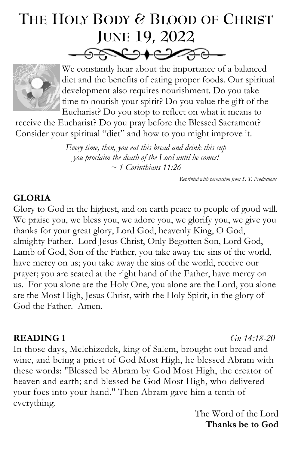# **THE HOLY BODY & BLOOD OF CHRIST JUNE 19, 2022**  $-980010000-$



We constantly hear about the importance of a balanced diet and the benefits of eating proper foods. Our spiritual development also requires nourishment. Do you take time to nourish your spirit? Do you value the gift of the Eucharist? Do you stop to reflect on what it means to

receive the Eucharist? Do you pray before the Blessed Sacrament? Consider your spiritual "diet" and how to you might improve it.

> *Every time, then, you eat this bread and drink this cup you proclaim the death of the Lord until he comes! ~ 1 Corinthians 11:26*

> > *Reprinted with permission from S. T. Productions*

#### **GLORIA**

Glory to God in the highest, and on earth peace to people of good will. We praise you, we bless you, we adore you, we glorify you, we give you thanks for your great glory, Lord God, heavenly King, O God, almighty Father. Lord Jesus Christ, Only Begotten Son, Lord God, Lamb of God, Son of the Father, you take away the sins of the world, have mercy on us; you take away the sins of the world, receive our prayer; you are seated at the right hand of the Father, have mercy on us. For you alone are the Holy One, you alone are the Lord, you alone are the Most High, Jesus Christ, with the Holy Spirit, in the glory of God the Father. Amen.

#### **READING 1** *[Gn 14:18-20](https://bible.usccb.org/bible/genesis/14?18)*

In those days, Melchizedek, king of Salem, brought out bread and wine, and being a priest of God Most High, he blessed Abram with these words: "Blessed be Abram by God Most High, the creator of heaven and earth; and blessed be God Most High, who delivered your foes into your hand." Then Abram gave him a tenth of everything.

The Word of the Lord **Thanks be to God**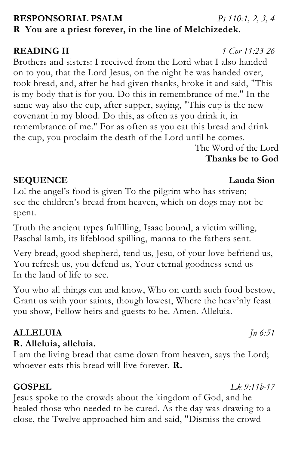# **RESPONSORIAL PSALM** *[Ps 110:1, 2, 3, 4](https://bible.usccb.org/bible/psalms/110?1)* **R You are a priest forever, in the line of Melchizedek.**

# **READING II** *[1 Cor 11:23-26](https://bible.usccb.org/bible/1corinthians/11?23)*

Brothers and sisters: I received from the Lord what I also handed on to you, that the Lord Jesus, on the night he was handed over, took bread, and, after he had given thanks, broke it and said, "This is my body that is for you. Do this in remembrance of me." In the same way also the cup, after supper, saying, "This cup is the new covenant in my blood. Do this, as often as you drink it, in remembrance of me." For as often as you eat this bread and drink the cup, you proclaim the death of the Lord until he comes. The Word of the Lord

**Thanks be to God**

# **SEQUENCE Lauda Sion**

Lo! the angel's food is given To the pilgrim who has striven; see the children's bread from heaven, which on dogs may not be spent.

Truth the ancient types fulfilling, Isaac bound, a victim willing, Paschal lamb, its lifeblood spilling, manna to the fathers sent.

Very bread, good shepherd, tend us, Jesu, of your love befriend us, You refresh us, you defend us, Your eternal goodness send us In the land of life to see.

You who all things can and know, Who on earth such food bestow, Grant us with your saints, though lowest, Where the heav'nly feast you show, Fellow heirs and guests to be. Amen. Alleluia.

# **ALLELUIA** *[Jn 6:51](https://bible.usccb.org/bible/john/6?51)*

# **R. Alleluia, alleluia.**

I am the living bread that came down from heaven, says the Lord; whoever eats this bread will live forever. **R.** 

# **GOSPEL** *[Lk 9:11b-17](https://bible.usccb.org/bible/luke/9?11)*

Jesus spoke to the crowds about the kingdom of God, and he healed those who needed to be cured. As the day was drawing to a close, the Twelve approached him and said, "Dismiss the crowd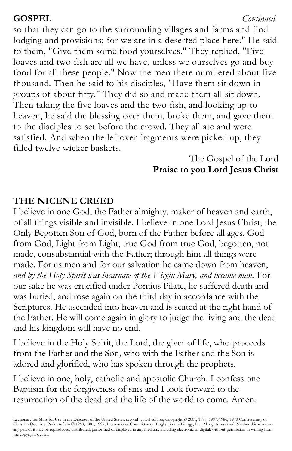### **GOSPEL** *[Continued](https://bible.usccb.org/bible/john/1?12)*

so that they can go to the surrounding villages and farms and find lodging and provisions; for we are in a deserted place here." He said to them, "Give them some food yourselves." They replied, "Five loaves and two fish are all we have, unless we ourselves go and buy food for all these people." Now the men there numbered about five thousand. Then he said to his disciples, "Have them sit down in groups of about fifty." They did so and made them all sit down. Then taking the five loaves and the two fish, and looking up to heaven, he said the blessing over them, broke them, and gave them to the disciples to set before the crowd. They all ate and were satisfied. And when the leftover fragments were picked up, they filled twelve wicker baskets.

### The Gospel of the Lord **Praise to you Lord Jesus Christ**

### **THE NICENE CREED**

I believe in one God, the Father almighty, maker of heaven and earth, of all things visible and invisible. I believe in one Lord Jesus Christ, the Only Begotten Son of God, born of the Father before all ages. God from God, Light from Light, true God from true God, begotten, not made, consubstantial with the Father; through him all things were made. For us men and for our salvation he came down from heaven, *and by the Holy Spirit was incarnate of the Virgin Mary, and became man.* For our sake he was crucified under Pontius Pilate, he suffered death and was buried, and rose again on the third day in accordance with the Scriptures. He ascended into heaven and is seated at the right hand of the Father. He will come again in glory to judge the living and the dead and his kingdom will have no end.

I believe in the Holy Spirit, the Lord, the giver of life, who proceeds from the Father and the Son, who with the Father and the Son is adored and glorified, who has spoken through the prophets.

I believe in one, holy, catholic and apostolic Church. I confess one Baptism for the forgiveness of sins and I look forward to the resurrection of the dead and the life of the world to come. Amen.